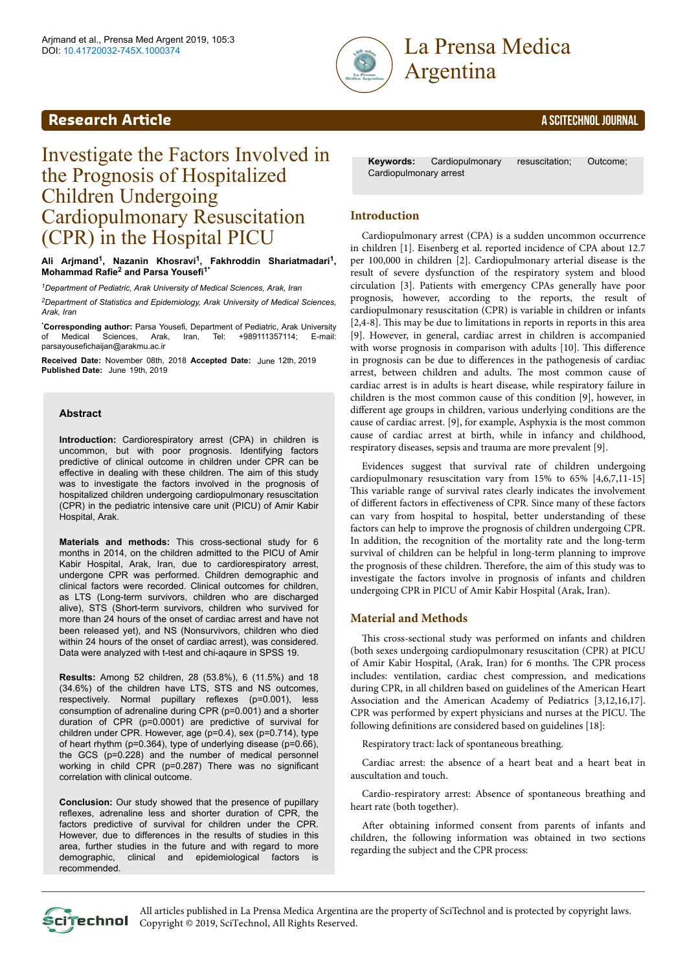



# Investigate the Factors Involved in the Prognosis of Hospitalized Children Undergoing Cardiopulmonary Resuscitation (CPR) in the Hospital PICU

**Ali Arjmand<sup>1</sup> , Nazanin Khosravi<sup>1</sup> , Fakhroddin Shariatmadari<sup>1</sup> , Mohammad Rafie<sup>2</sup> and Parsa Yousefi1\***

*<sup>1</sup>Department of Pediatric, Arak University of Medical Sciences, Arak, Iran*

*<sup>2</sup>Department of Statistics and Epidemiology, Arak University of Medical Sciences, Arak, Iran*

\***Corresponding author:** Parsa Yousefi, Department of Pediatric, Arak University **Sciences, Arak, I** parsayousefichaijan@arakmu.ac.ir

Received Date: November 08th, 2018 Accepted Date: June 12th, 2019 Published Date: June 19th, 2019

#### **Abstract**

**Introduction:** Cardiorespiratory arrest (CPA) in children is uncommon, but with poor prognosis. Identifying factors predictive of clinical outcome in children under CPR can be effective in dealing with these children. The aim of this study was to investigate the factors involved in the prognosis of hospitalized children undergoing cardiopulmonary resuscitation (CPR) in the pediatric intensive care unit (PICU) of Amir Kabir Hospital, Arak.

**Materials and methods:** This cross-sectional study for 6 months in 2014, on the children admitted to the PICU of Amir Kabir Hospital, Arak, Iran, due to cardiorespiratory arrest, undergone CPR was performed. Children demographic and clinical factors were recorded. Clinical outcomes for children, as LTS (Long-term survivors, children who are discharged alive), STS (Short-term survivors, children who survived for more than 24 hours of the onset of cardiac arrest and have not been released yet), and NS (Nonsurvivors, children who died within 24 hours of the onset of cardiac arrest), was considered. Data were analyzed with t-test and chi-aqaure in SPSS 19.

**Results:** Among 52 children, 28 (53.8%), 6 (11.5%) and 18 (34.6%) of the children have LTS, STS and NS outcomes, respectively. Normal pupillary reflexes (p=0.001), less consumption of adrenaline during CPR (p=0.001) and a shorter duration of CPR (p=0.0001) are predictive of survival for children under CPR. However, age (p=0.4), sex (p=0.714), type of heart rhythm (p=0.364), type of underlying disease (p=0.66), the GCS (p=0.228) and the number of medical personnel working in child CPR (p=0.287) There was no significant correlation with clinical outcome.

**Conclusion:** Our study showed that the presence of pupillary reflexes, adrenaline less and shorter duration of CPR, the factors predictive of survival for children under the CPR. However, due to differences in the results of studies in this area, further studies in the future and with regard to more demographic, clinical and epidemiological factors is recommended.

**Keywords:** Cardiopulmonary resuscitation; Outcome; Cardiopulmonary arrest

### **Introduction**

Cardiopulmonary arrest (CPA) is a sudden uncommon occurrence in children [1]. Eisenberg et al. reported incidence of CPA about 12.7 per 100,000 in children [2]. Cardiopulmonary arterial disease is the result of severe dysfunction of the respiratory system and blood circulation [3]. Patients with emergency CPAs generally have poor prognosis, however, according to the reports, the result of cardiopulmonary resuscitation (CPR) is variable in children or infants [2,4-8]. Нis may be due to limitations in reports in reports in this area [9]. However, in general, cardiac arrest in children is accompanied with worse prognosis in comparison with adults [10]. This difference in prognosis can be due to differences in the pathogenesis of cardiac arrest, between children and adults. Нe most common cause of cardiac arrest is in adults is heart disease, while respiratory failure in children is the most common cause of this condition [9], however, in different age groups in children, various underlying conditions are the cause of cardiac arrest. [9], for example, Asphyxia is the most common cause of cardiac arrest at birth, while in infancy and childhood, respiratory diseases, sepsis and trauma are more prevalent [9].

Evidences suggest that survival rate of children undergoing cardiopulmonary resuscitation vary from 15% to 65% [4,6,7,11-15] This variable range of survival rates clearly indicates the involvement of different factors in effectiveness of CPR. Since many of these factors can vary from hospital to hospital, better understanding of these factors can help to improve the prognosis of children undergoing CPR. In addition, the recognition of the mortality rate and the long-term survival of children can be helpful in long-term planning to improve the prognosis of these children. Нerefore, the aim of this study was to investigate the factors involve in prognosis of infants and children undergoing CPR in PICU of Amir Kabir Hospital (Arak, Iran).

#### **Material and Methods**

This cross-sectional study was performed on infants and children (both sexes undergoing cardiopulmonary resuscitation (CPR) at PICU of Amir Kabir Hospital, (Arak, Iran) for 6 months. Нe CPR process includes: ventilation, cardiac chest compression, and medications during CPR, in all children based on guidelines of the American Heart Association and the American Academy of Pediatrics [3,12,16,17]. CPR was performed by expert physicians and nurses at the PICU. Нe following definitions are considered based on guidelines [18]:

Respiratory tract: lack of spontaneous breathing.

Cardiac arrest: the absence of a heart beat and a heart beat in auscultation and touch.

Cardio-respiratory arrest: Absence of spontaneous breathing and heart rate (both together).

After obtaining informed consent from parents of infants and children, the following information was obtained in two sections regarding the subject and the CPR process:

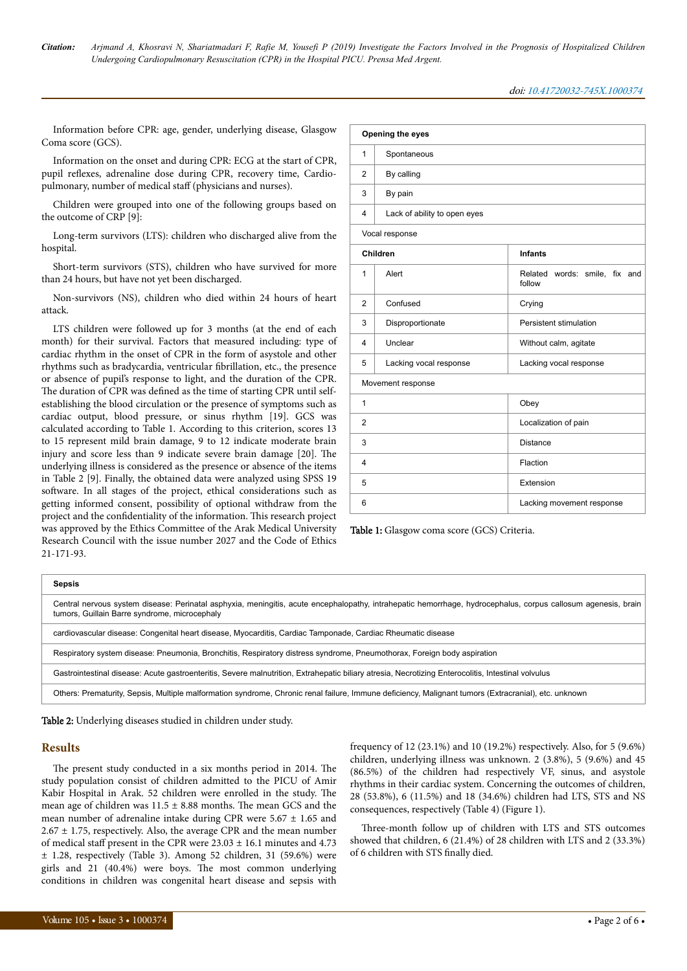Information before CPR: age, gender, underlying disease, Glasgow Coma score (GCS).

Information on the onset and during CPR: ECG at the start of CPR, pupil reflexes, adrenaline dose during CPR, recovery time, Cardiopulmonary, number of medical staff (physicians and nurses).

Children were grouped into one of the following groups based on the outcome of CRP [9]:

Long-term survivors (LTS): children who discharged alive from the hospital.

Short-term survivors (STS), children who have survived for more than 24 hours, but have not yet been discharged.

Non-survivors (NS), children who died within 24 hours of heart attack.

LTS children were followed up for 3 months (at the end of each month) for their survival. Factors that measured including: type of cardiac rhythm in the onset of CPR in the form of asystole and other rhythms such as bradycardia, ventricular fibrillation, etc., the presence or absence of pupil's response to light, and the duration of the CPR. The duration of CPR was defined as the time of starting CPR until selfestablishing the blood circulation or the presence of symptoms such as cardiac output, blood pressure, or sinus rhythm [19]. GCS was calculated according to Table 1. According to this criterion, scores 13 to 15 represent mild brain damage, 9 to 12 indicate moderate brain injury and score less than 9 indicate severe brain damage [20]. Нe underlying illness is considered as the presence or absence of the items in Table 2 [9]. Finally, the obtained data were analyzed using SPSS 19 software. In all stages of the project, ethical considerations such as getting informed consent, possibility of optional withdraw from the project and the confidentiality of the information. Нis research project was approved by the Ethics Committee of the Arak Medical University Research Council with the issue number 2027 and the Code of Ethics 21-171-93.

| Opening the eyes |                              |                                         |  |  |  |
|------------------|------------------------------|-----------------------------------------|--|--|--|
| 1                | Spontaneous                  |                                         |  |  |  |
| $\overline{2}$   | By calling                   |                                         |  |  |  |
| 3                | By pain                      |                                         |  |  |  |
| 4                | Lack of ability to open eyes |                                         |  |  |  |
|                  | Vocal response               |                                         |  |  |  |
|                  | Children                     | <b>Infants</b>                          |  |  |  |
| 1                | Alert                        | Related words: smile, fix and<br>follow |  |  |  |
| 2                | Confused                     | Crying                                  |  |  |  |
| 3                | Disproportionate             | Persistent stimulation                  |  |  |  |
| 4                | Unclear                      | Without calm, agitate                   |  |  |  |
| 5                | Lacking vocal response       | Lacking vocal response                  |  |  |  |
|                  | Movement response            |                                         |  |  |  |
| 1                | Obey                         |                                         |  |  |  |
| $\overline{2}$   |                              | Localization of pain                    |  |  |  |
| 3                |                              | <b>Distance</b>                         |  |  |  |
| 4                | Flaction                     |                                         |  |  |  |
| 5                | Extension                    |                                         |  |  |  |
| 6                | Lacking movement response    |                                         |  |  |  |

Table 1: Glasgow coma score (GCS) Criteria.

| Central nervous system disease: Perinatal asphyxia, meningitis, acute encephalopathy, intrahepatic hemorrhage, hydrocephalus, corpus callosum agenesis, brain |
|---------------------------------------------------------------------------------------------------------------------------------------------------------------|
|                                                                                                                                                               |
|                                                                                                                                                               |
|                                                                                                                                                               |
|                                                                                                                                                               |
|                                                                                                                                                               |

Table 2: Underlying diseases studied in children under study.

#### **Results**

The present study conducted in a six months period in 2014. The study population consist of children admitted to the PICU of Amir Kabir Hospital in Arak. 52 children were enrolled in the study. Нe mean age of children was  $11.5 \pm 8.88$  months. The mean GCS and the mean number of adrenaline intake during CPR were  $5.67 \pm 1.65$  and  $2.67 \pm 1.75$ , respectively. Also, the average CPR and the mean number of medical staff present in the CPR were  $23.03 \pm 16.1$  minutes and  $4.73$ ± 1.28, respectively (Table 3). Among 52 children, 31 (59.6%) were girls and 21 (40.4%) were boys. Нe most common underlying conditions in children was congenital heart disease and sepsis with

frequency of 12 (23.1%) and 10 (19.2%) respectively. Also, for 5 (9.6%) children, underlying illness was unknown. 2 (3.8%), 5 (9.6%) and 45 (86.5%) of the children had respectively VF, sinus, and asystole rhythms in their cardiac system. Concerning the outcomes of children, 28 (53.8%), 6 (11.5%) and 18 (34.6%) children had LTS, STS and NS consequences, respectively (Table 4) (Figure 1).

Нree-month follow up of children with LTS and STS outcomes showed that children, 6 (21.4%) of 28 children with LTS and 2 (33.3%) of 6 children with STS finally died.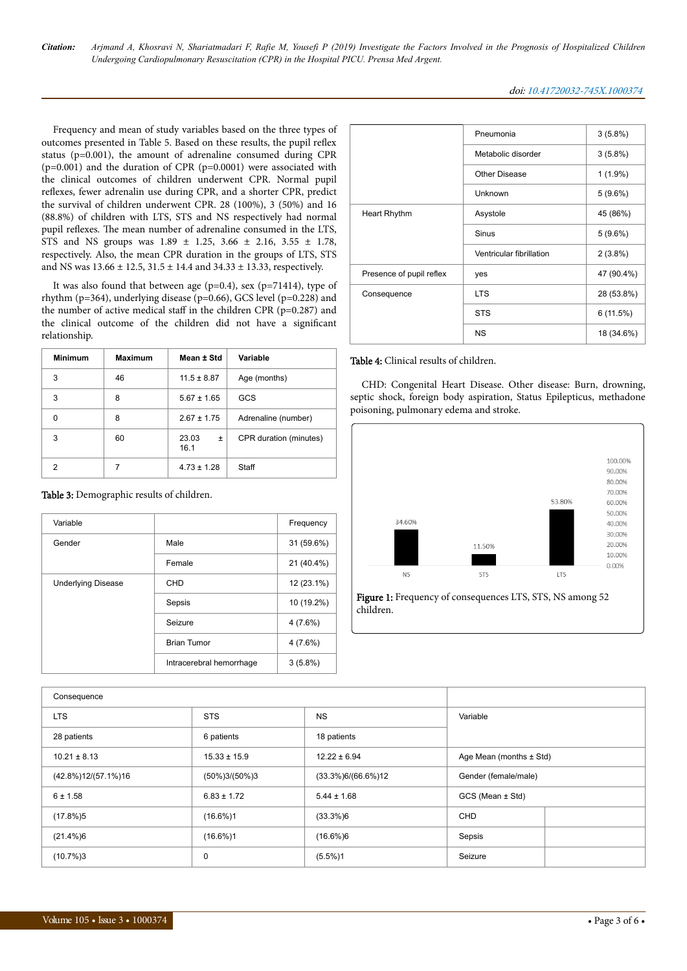*Citation: Arjmand A, Khosravi N, Shariatmadari F, Rafie M, Yousefi P (2019) Investigate the Factors Involved in the Prognosis of Hospitalized Children Undergoing Cardiopulmonary Resuscitation (CPR) in the Hospital PICU. Prensa Med Argent.*

#### doi: 10.41720032-745X.1000374

Frequency and mean of study variables based on the three types of outcomes presented in Table 5. Based on these results, the pupil reflex status (p=0.001), the amount of adrenaline consumed during CPR (p=0.001) and the duration of CPR (p=0.0001) were associated with the clinical outcomes of children underwent CPR. Normal pupil reflexes, fewer adrenalin use during CPR, and a shorter CPR, predict the survival of children underwent CPR. 28 (100%), 3 (50%) and 16 (88.8%) of children with LTS, STS and NS respectively had normal pupil reflexes. Нe mean number of adrenaline consumed in the LTS, STS and NS groups was 1.89 ± 1.25, 3.66 ± 2.16, 3.55 ± 1.78, respectively. Also, the mean CPR duration in the groups of LTS, STS and NS was 13.66 ± 12.5, 31.5 ± 14.4 and 34.33 ± 13.33, respectively.

It was also found that between age ( $p=0.4$ ), sex ( $p=71414$ ), type of rhythm (p=364), underlying disease (p=0.66), GCS level (p=0.228) and the number of active medical staff in the children CPR ( $p=0.287$ ) and the clinical outcome of the children did not have a significant relationship.

| <b>Minimum</b> | <b>Maximum</b> | Mean ± Std         | Variable               |  |
|----------------|----------------|--------------------|------------------------|--|
| 3              | 46             | $11.5 \pm 8.87$    | Age (months)           |  |
| 3              | 8              | $5.67 \pm 1.65$    | GCS                    |  |
| U              | 8              | $2.67 \pm 1.75$    | Adrenaline (number)    |  |
| 3              | 60             | 23.03<br>Ŧ<br>16.1 | CPR duration (minutes) |  |
| 2              |                | $4.73 \pm 1.28$    | Staff                  |  |

| Table 3: Demographic results of children. |  |  |
|-------------------------------------------|--|--|
|-------------------------------------------|--|--|

| Variable                  |                          | Frequency  |
|---------------------------|--------------------------|------------|
| Gender                    | Male                     | 31 (59.6%) |
|                           | Female                   | 21 (40.4%) |
| <b>Underlying Disease</b> | CHD                      | 12 (23.1%) |
|                           | Sepsis                   | 10 (19.2%) |
|                           | Seizure                  | 4 (7.6%)   |
|                           | <b>Brian Tumor</b>       | 4 (7.6%)   |
|                           | Intracerebral hemorrhage | $3(5.8\%)$ |

|                          | Pneumonia                | $3(5.8\%)$ |
|--------------------------|--------------------------|------------|
|                          | Metabolic disorder       | $3(5.8\%)$ |
|                          | Other Disease            | $1(1.9\%)$ |
|                          | Unknown                  | $5(9.6\%)$ |
| Heart Rhythm             | Asystole                 | 45 (86%)   |
|                          | Sinus                    | $5(9.6\%)$ |
|                          | Ventricular fibrillation | $2(3.8\%)$ |
| Presence of pupil reflex | yes                      | 47 (90.4%) |
| Consequence              | <b>LTS</b>               | 28 (53.8%) |
|                          | <b>STS</b>               | 6(11.5%)   |
|                          | <b>NS</b>                | 18 (34.6%) |

#### Table 4: Clinical results of children.

CHD: Congenital Heart Disease. Other disease: Burn, drowning, septic shock, foreign body aspiration, Status Epilepticus, methadone poisoning, pulmonary edema and stroke.



Figure 1: Frequency of consequences LTS, STS, NS among 52 children.

| Consequence             |                   |                        |                             |
|-------------------------|-------------------|------------------------|-----------------------------|
| <b>LTS</b>              | <b>STS</b>        | <b>NS</b>              | Variable                    |
| 28 patients             | 6 patients        | 18 patients            |                             |
| $10.21 \pm 8.13$        | $15.33 \pm 15.9$  | $12.22 \pm 6.94$       | Age Mean (months $\pm$ Std) |
| $(42.8\%)12/(57.1\%)16$ | $(50\%)3/(50\%)3$ | $(33.3\%)6/(66.6\%)12$ | Gender (female/male)        |
| $6 \pm 1.58$            | $6.83 \pm 1.72$   | $5.44 \pm 1.68$        | GCS (Mean ± Std)            |
| $(17.8\%)5$             | $(16.6\%)1$       | $(33.3\%)6$            | <b>CHD</b>                  |
| $(21.4\%)6$             | $(16.6\%)1$       | $(16.6\%)6$            | Sepsis                      |
| (10.7%)3                | 0                 | $(5.5\%)1$             | Seizure                     |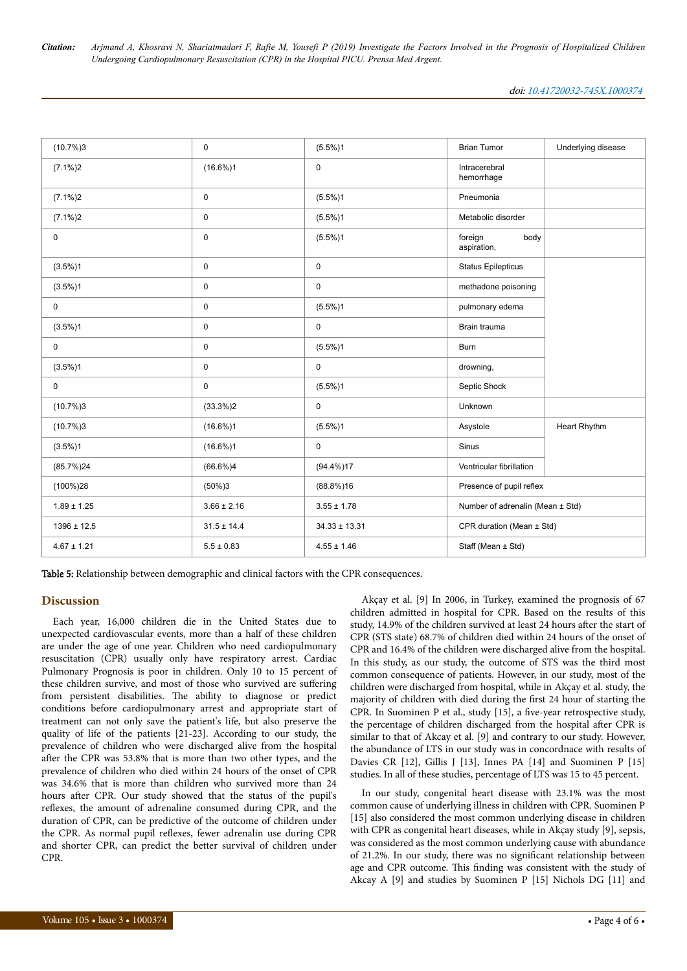| (10.7%)3        | $\mathbf 0$     | $(5.5\%)1$        | <b>Brian Tumor</b>               | Underlying disease |
|-----------------|-----------------|-------------------|----------------------------------|--------------------|
| $(7.1\%)2$      | $(16.6\%)1$     | 0                 | Intracerebral<br>hemorrhage      |                    |
| $(7.1\%)2$      | $\pmb{0}$       | $(5.5\%)1$        | Pneumonia                        |                    |
| $(7.1\%)2$      | $\mathsf 0$     | $(5.5\%)1$        | Metabolic disorder               |                    |
| 0               | $\pmb{0}$       | $(5.5\%)1$        | foreign<br>body<br>aspiration,   |                    |
| $(3.5\%)1$      | $\mathbf 0$     | 0                 | <b>Status Epilepticus</b>        |                    |
| $(3.5\%)1$      | $\pmb{0}$       | 0                 | methadone poisoning              |                    |
| $\mathsf{O}$    | $\mathsf 0$     | $(5.5\%)1$        | pulmonary edema                  |                    |
| $(3.5\%)1$      | $\mathbf 0$     | 0                 | Brain trauma                     |                    |
| $\mathsf{O}$    | $\pmb{0}$       | $(5.5\%)1$        | <b>Burn</b>                      |                    |
| $(3.5\%)1$      | $\pmb{0}$       | 0                 | drowning,                        |                    |
| $\mathbf 0$     | $\pmb{0}$       | $(5.5\%)1$        | Septic Shock                     |                    |
| (10.7%)3        | $(33.3\%)2$     | 0                 | Unknown                          |                    |
| (10.7%)3        | $(16.6\%)1$     | $(5.5\%)1$        | Asystole                         | Heart Rhythm       |
| $(3.5\%)1$      | $(16.6\%)1$     | 0                 | Sinus                            |                    |
| (85.7%)24       | $(66.6\%)4$     | $(94.4\%)17$      | Ventricular fibrillation         |                    |
| $(100\%)28$     | $(50\%)3$       | $(88.8\%)16$      | Presence of pupil reflex         |                    |
| $1.89 \pm 1.25$ | $3.66 \pm 2.16$ | $3.55 \pm 1.78$   | Number of adrenalin (Mean ± Std) |                    |
| $1396 \pm 12.5$ | $31.5 \pm 14.4$ | $34.33 \pm 13.31$ | CPR duration (Mean ± Std)        |                    |
| $4.67 \pm 1.21$ | $5.5 \pm 0.83$  | $4.55 \pm 1.46$   | Staff (Mean ± Std)               |                    |

Table 5: Relationship between demographic and clinical factors with the CPR consequences.

#### **Discussion**

Each year, 16,000 children die in the United States due to unexpected cardiovascular events, more than a half of these children are under the age of one year. Children who need cardiopulmonary resuscitation (CPR) usually only have respiratory arrest. Cardiac Pulmonary Prognosis is poor in children. Only 10 to 15 percent of these children survive, and most of those who survived are suffering from persistent disabilities. Нe ability to diagnose or predict conditions before cardiopulmonary arrest and appropriate start of treatment can not only save the patient's life, but also preserve the quality of life of the patients [21-23]. According to our study, the prevalence of children who were discharged alive from the hospital after the CPR was 53.8% that is more than two other types, and the prevalence of children who died within 24 hours of the onset of CPR was 34.6% that is more than children who survived more than 24 hours after CPR. Our study showed that the status of the pupil's reflexes, the amount of adrenaline consumed during CPR, and the duration of CPR, can be predictive of the outcome of children under the CPR. As normal pupil reflexes, fewer adrenalin use during CPR and shorter CPR, can predict the better survival of children under CPR.

Akçay et al. [9] In 2006, in Turkey, examined the prognosis of 67 children admitted in hospital for CPR. Based on the results of this study, 14.9% of the children survived at least 24 hours after the start of CPR (STS state) 68.7% of children died within 24 hours of the onset of CPR and 16.4% of the children were discharged alive from the hospital. In this study, as our study, the outcome of STS was the third most common consequence of patients. However, in our study, most of the children were discharged from hospital, while in Akçay et al. study, the majority of children with died during the first 24 hour of starting the CPR. In Suominen P et al., study [15], a five-year retrospective study, the percentage of children discharged from the hospital after CPR is similar to that of Akcay et al. [9] and contrary to our study. However, the abundance of LTS in our study was in concordnace with results of Davies CR [12], Gillis J [13], Innes PA [14] and Suominen P [15] studies. In all of these studies, percentage of LTS was 15 to 45 percent.

In our study, congenital heart disease with 23.1% was the most common cause of underlying illness in children with CPR. Suominen P [15] also considered the most common underlying disease in children with CPR as congenital heart diseases, while in Akçay study [9], sepsis, was considered as the most common underlying cause with abundance of 21.2%. In our study, there was no significant relationship between age and CPR outcome. Нis finding was consistent with the study of Akcay A [9] and studies by Suominen P [15] Nichols DG [11] and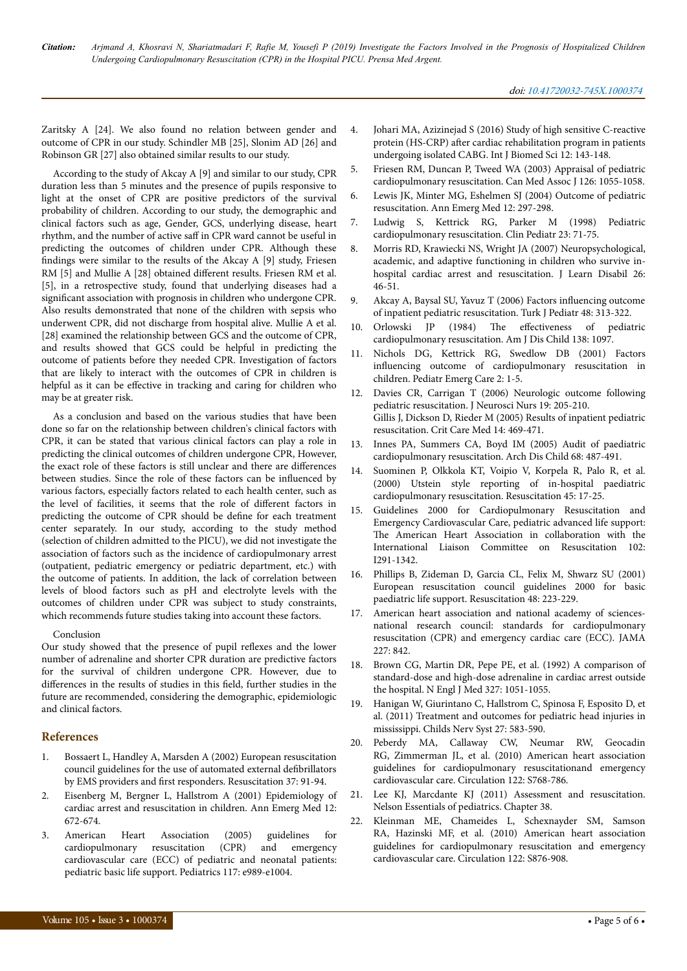Zaritsky A [24]. We also found no relation between gender and outcome of CPR in our study. Schindler MB [25], Slonim AD [26] and Robinson GR [27] also obtained similar results to our study.

According to the study of Akcay A [9] and similar to our study, CPR duration less than 5 minutes and the presence of pupils responsive to light at the onset of CPR are positive predictors of the survival probability of children. According to our study, the demographic and clinical factors such as age, Gender, GCS, underlying disease, heart rhythm, and the number of active saff in CPR ward cannot be useful in predicting the outcomes of children under CPR. Although these findings were similar to the results of the Akcay A [9] study, Friesen RM [5] and Mullie A [28] obtained different results. Friesen RM et al. [5], in a retrospective study, found that underlying diseases had a significant association with prognosis in children who undergone CPR. Also results demonstrated that none of the children with sepsis who underwent CPR, did not discharge from hospital alive. Mullie A et al. [28] examined the relationship between GCS and the outcome of CPR, and results showed that GCS could be helpful in predicting the outcome of patients before they needed CPR. Investigation of factors that are likely to interact with the outcomes of CPR in children is helpful as it can be effective in tracking and caring for children who may be at greater risk.

As a conclusion and based on the various studies that have been done so far on the relationship between children's clinical factors with CPR, it can be stated that various clinical factors can play a role in predicting the clinical outcomes of children undergone CPR, However, the exact role of these factors is still unclear and there are differences between studies. Since the role of these factors can be influenced by various factors, especially factors related to each health center, such as the level of facilities, it seems that the role of different factors in predicting the outcome of CPR should be define for each treatment center separately. In our study, according to the study method (selection of children admitted to the PICU), we did not investigate the association of factors such as the incidence of cardiopulmonary arrest (outpatient, pediatric emergency or pediatric department, etc.) with the outcome of patients. In addition, the lack of correlation between levels of blood factors such as pH and electrolyte levels with the outcomes of children under CPR was subject to study constraints, which recommends future studies taking into account these factors.

#### Conclusion

Our study showed that the presence of pupil reflexes and the lower number of adrenaline and shorter CPR duration are predictive factors for the survival of children undergone CPR. However, due to differences in the results of studies in this field, further studies in the future are recommended, considering the demographic, epidemiologic and clinical factors.

## **References**

- 1. [Bossaert L, Handley A, Marsden A \(2002\) European resuscitation](https://www.resuscitationjournal.com/article/S0300-9572(98)00037-9/fulltext) [council guidelines for the use of automated external](https://www.resuscitationjournal.com/article/S0300-9572(98)00037-9/fulltext) defibrillators by EMS providers and first [responders. Resuscitation 37: 91-94.](https://www.resuscitationjournal.com/article/S0300-9572(98)00037-9/fulltext)
- 2. Eisenberg M, Bergner L, Hallstrom A (2001) Epidemiology of cardiac arrest and resuscitation in children. Ann Emerg Med 12: 672-674.
- 3. American Heart Association (2005) guidelines for cardiopulmonary resuscitation (CPR) and emergency cardiovascular care (ECC) of pediatric and neonatal patients: pediatric basic life support. Pediatrics 117: e989-e1004.
- 4. Johari MA, Azizinejad S (2016) Study of high sensitive C-reactive protein (HS-CRP) after cardiac rehabilitation program in patients undergoing isolated CABG. Int J Biomed Sci 12: 143-148.
- 5. Friesen RM, Duncan P, Tweed WA (2003) Appraisal of pediatric cardiopulmonary resuscitation. Can Med Assoc J 126: 1055-1058.
- 6. [Lewis JK, Minter MG, Eshelmen SJ \(2004\) Outcome of pediatric](https://www.annemergmed.com/article/S0196-0644(83)80512-5/abstract) [resuscitation. Ann Emerg Med 12: 297-298.](https://www.annemergmed.com/article/S0196-0644(83)80512-5/abstract)
- 7. Ludwig S, Kettrick RG, Parker M (1998) Pediatric cardiopulmonary resuscitation. Clin Pediatr 23: 71-75.
- 8. Morris RD, Krawiecki NS, Wright JA (2007) Neuropsychological, academic, and adaptive functioning in children who survive inhospital cardiac arrest and resuscitation. J Learn Disabil 26: 46-51.
- 9. Akcay A, Baysal SU, Yavuz T (2006) Factors influencing outcome of inpatient pediatric resuscitation. Turk J Pediatr 48: 313-322.
- 10. [Orlowski JP \(1984\)](https://jamanetwork.com/journals/jamapediatrics/article-abstract/511722) The effectiveness of pediatric [cardiopulmonary resuscitation. Am J Dis Child 138: 1097.](https://jamanetwork.com/journals/jamapediatrics/article-abstract/511722)
- 11. [Nichols DG, Kettrick RG, Swedlow DB \(2001\) Factors](https://europepmc.org/abstract/med/3774565) influencing [outcome of cardiopulmonary resuscitation in](https://europepmc.org/abstract/med/3774565) [children. Pediatr Emerg Care 2: 1-5.](https://europepmc.org/abstract/med/3774565)
- 12. [Davies CR, Carrigan T \(2006\) Neurologic outcome following](https://europepmc.org/abstract/med/2958564) [pediatric resuscitation. J Neurosci Nurs 19: 205-210.](https://europepmc.org/abstract/med/2958564) Gillis J, Dickson D, Rieder M (2005) Results of inpatient pediatric resuscitation. Crit Care Med 14: 469-471.
- 13. Innes PA, Summers CA, Boyd IM (2005) Audit of paediatric cardiopulmonary resuscitation. Arch Dis Child 68: 487-491.
- 14. Suominen P, Olkkola KT, Voipio V, Korpela R, Palo R, et al. (2000) Utstein style reporting of in-hospital paediatric cardiopulmonary resuscitation. Resuscitation 45: 17-25.
- 15. Guidelines 2000 for Cardiopulmonary Resuscitation and Emergency Cardiovascular Care, pediatric advanced life support: The American Heart Association in collaboration with the International Liaison Committee on Resuscitation 102: I291-1342.
- 16. [Phillips B, Zideman D, Garcia CL, Felix M, Shwarz SU \(2001\)](http://www.medynet.com/usuarios/jraguilar/PBLSguidelines.pdf) [European resuscitation council guidelines 2000 for basic](http://www.medynet.com/usuarios/jraguilar/PBLSguidelines.pdf) [paediatric life support. Resuscitation 48: 223-229.](http://www.medynet.com/usuarios/jraguilar/PBLSguidelines.pdf)
- 17. American heart association and national academy of sciencesnational research council: standards for cardiopulmonary resuscitation (CPR) and emergency cardiac care (ECC). JAMA 227: 842.
- 18. [Brown CG, Martin DR, Pepe PE, et al. \(1992\) A comparison of](https://www.nejm.org/doi/10.1056/NEJM199210083271503?url_ver=Z39.88-2003&rfr_id=ori:rid:crossref.org&rfr_dat=cr_pub%3dwww.ncbi.nlm.nih.gov) [standard-dose and high-dose adrenaline in cardiac arrest outside](https://www.nejm.org/doi/10.1056/NEJM199210083271503?url_ver=Z39.88-2003&rfr_id=ori:rid:crossref.org&rfr_dat=cr_pub%3dwww.ncbi.nlm.nih.gov) [the hospital. N Engl J Med 327: 1051-1055.](https://www.nejm.org/doi/10.1056/NEJM199210083271503?url_ver=Z39.88-2003&rfr_id=ori:rid:crossref.org&rfr_dat=cr_pub%3dwww.ncbi.nlm.nih.gov)
- 19. Hanigan W, Giurintano C, Hallstrom C, Spinosa F, Esposito D, et al. (2011) Treatment and outcomes for pediatric head injuries in mississippi. Childs Nerv Syst 27: 583-590.
- 20. [Peberdy MA, Callaway CW, Neumar RW, Geocadin](https://www.ahajournals.org/doi/abs/10.1161/CIRCULATIONAHA.110.971002) [RG, Zimmerman JL, et al. \(2010\) American heart association](https://www.ahajournals.org/doi/abs/10.1161/CIRCULATIONAHA.110.971002) [guidelines for cardiopulmonary resuscitationand emergency](https://www.ahajournals.org/doi/abs/10.1161/CIRCULATIONAHA.110.971002) [cardiovascular care. Circulation 122: S768-786.](https://www.ahajournals.org/doi/abs/10.1161/CIRCULATIONAHA.110.971002)
- 21. Lee KJ, Marcdante KJ (2011) Assessment and resuscitation. Nelson Essentials of pediatrics. Chapter 38.
- 22. Kleinman ME, Chameides L, Schexnayder SM, Samson RA, Hazinski MF, et al. (2010) American heart association guidelines for cardiopulmonary resuscitation and emergency cardiovascular care. Circulation 122: S876-908.